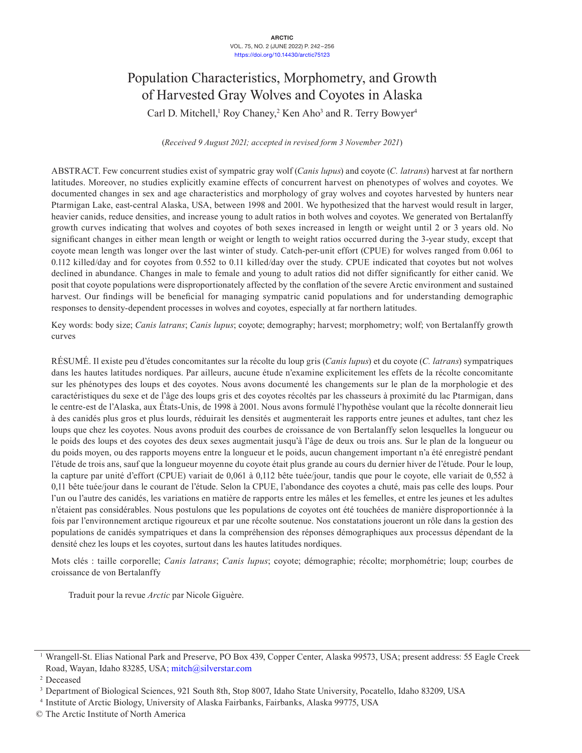# Population Characteristics, Morphometry, and Growth of Harvested Gray Wolves and Coyotes in Alaska

Carl D. Mitchell,<sup>1</sup> Roy Chaney,<sup>2</sup> Ken Aho<sup>3</sup> and R. Terry Bowyer<sup>4</sup>

(*Received 9 August 2021; accepted in revised form 3 November 2021*)

ABSTRACT. Few concurrent studies exist of sympatric gray wolf (*Canis lupus*) and coyote (*C. latrans*) harvest at far northern latitudes. Moreover, no studies explicitly examine effects of concurrent harvest on phenotypes of wolves and coyotes. We documented changes in sex and age characteristics and morphology of gray wolves and coyotes harvested by hunters near Ptarmigan Lake, east-central Alaska, USA, between 1998 and 2001. We hypothesized that the harvest would result in larger, heavier canids, reduce densities, and increase young to adult ratios in both wolves and coyotes. We generated von Bertalanffy growth curves indicating that wolves and coyotes of both sexes increased in length or weight until 2 or 3 years old. No significant changes in either mean length or weight or length to weight ratios occurred during the 3-year study, except that coyote mean length was longer over the last winter of study. Catch-per-unit effort (CPUE) for wolves ranged from 0.061 to 0.112 killed/day and for coyotes from 0.552 to 0.11 killed/day over the study. CPUE indicated that coyotes but not wolves declined in abundance. Changes in male to female and young to adult ratios did not differ significantly for either canid. We posit that coyote populations were disproportionately affected by the conflation of the severe Arctic environment and sustained harvest. Our findings will be beneficial for managing sympatric canid populations and for understanding demographic responses to density-dependent processes in wolves and coyotes, especially at far northern latitudes.

Key words: body size; *Canis latrans*; *Canis lupus*; coyote; demography; harvest; morphometry; wolf; von Bertalanffy growth curves

RÉSUMÉ. Il existe peu d'études concomitantes sur la récolte du loup gris (*Canis lupus*) et du coyote (*C. latrans*) sympatriques dans les hautes latitudes nordiques. Par ailleurs, aucune étude n'examine explicitement les effets de la récolte concomitante sur les phénotypes des loups et des coyotes. Nous avons documenté les changements sur le plan de la morphologie et des caractéristiques du sexe et de l'âge des loups gris et des coyotes récoltés par les chasseurs à proximité du lac Ptarmigan, dans le centre-est de l'Alaska, aux États-Unis, de 1998 à 2001. Nous avons formulé l'hypothèse voulant que la récolte donnerait lieu à des canidés plus gros et plus lourds, réduirait les densités et augmenterait les rapports entre jeunes et adultes, tant chez les loups que chez les coyotes. Nous avons produit des courbes de croissance de von Bertalanffy selon lesquelles la longueur ou le poids des loups et des coyotes des deux sexes augmentait jusqu'à l'âge de deux ou trois ans. Sur le plan de la longueur ou du poids moyen, ou des rapports moyens entre la longueur et le poids, aucun changement important n'a été enregistré pendant l'étude de trois ans, sauf que la longueur moyenne du coyote était plus grande au cours du dernier hiver de l'étude. Pour le loup, la capture par unité d'effort (CPUE) variait de 0,061 à 0,112 bête tuée/jour, tandis que pour le coyote, elle variait de 0,552 à 0,11 bête tuée/jour dans le courant de l'étude. Selon la CPUE, l'abondance des coyotes a chuté, mais pas celle des loups. Pour l'un ou l'autre des canidés, les variations en matière de rapports entre les mâles et les femelles, et entre les jeunes et les adultes n'étaient pas considérables. Nous postulons que les populations de coyotes ont été touchées de manière disproportionnée à la fois par l'environnement arctique rigoureux et par une récolte soutenue. Nos constatations joueront un rôle dans la gestion des populations de canidés sympatriques et dans la compréhension des réponses démographiques aux processus dépendant de la densité chez les loups et les coyotes, surtout dans les hautes latitudes nordiques.

Mots clés : taille corporelle; *Canis latrans*; *Canis lupus*; coyote; démographie; récolte; morphométrie; loup; courbes de croissance de von Bertalanffy

Traduit pour la revue *Arctic* par Nicole Giguère.

<sup>1</sup> Wrangell-St. Elias National Park and Preserve, PO Box 439, Copper Center, Alaska 99573, USA; present address: 55 Eagle Creek Road, Wayan, Idaho 83285, USA; [mitch@silverstar.com](mailto:mitch@silverstar.com)

<sup>2</sup> Deceased

<sup>&</sup>lt;sup>3</sup> Department of Biological Sciences, 921 South 8th, Stop 8007, Idaho State University, Pocatello, Idaho 83209, USA<br><sup>4</sup> Institute of Arctic Biology, University of Alaska Fairbanks, Fairbanks, Alaska 99775, USA

<sup>©</sup> The Arctic Institute of North America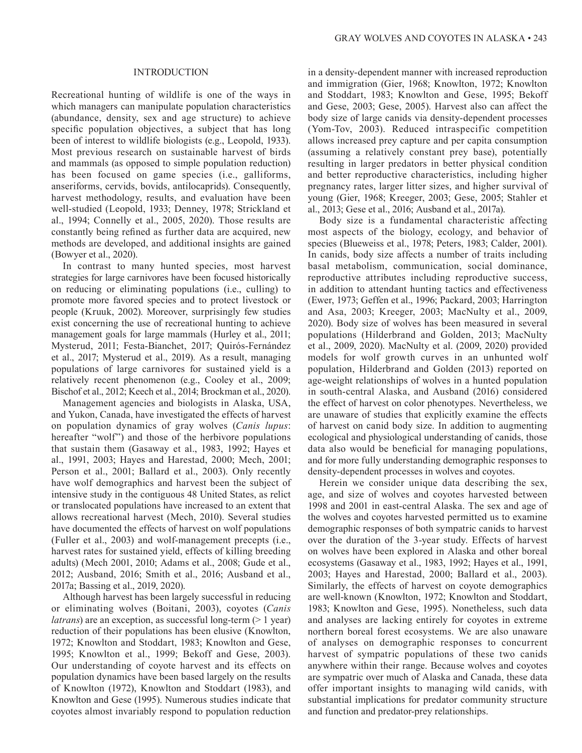## INTRODUCTION

Recreational hunting of wildlife is one of the ways in which managers can manipulate population characteristics (abundance, density, sex and age structure) to achieve specific population objectives, a subject that has long been of interest to wildlife biologists (e.g., Leopold, 1933). Most previous research on sustainable harvest of birds and mammals (as opposed to simple population reduction) has been focused on game species (i.e., galliforms, anseriforms, cervids, bovids, antilocaprids). Consequently, harvest methodology, results, and evaluation have been well-studied (Leopold, 1933; Denney, 1978; Strickland et al., 1994; Connelly et al., 2005, 2020). Those results are constantly being refined as further data are acquired, new methods are developed, and additional insights are gained (Bowyer et al., 2020).

In contrast to many hunted species, most harvest strategies for large carnivores have been focused historically on reducing or eliminating populations (i.e., culling) to promote more favored species and to protect livestock or people (Kruuk, 2002). Moreover, surprisingly few studies exist concerning the use of recreational hunting to achieve management goals for large mammals (Hurley et al., 2011; Mysterud, 2011; Festa-Bianchet, 2017; Quirós-Fernández et al., 2017; Mysterud et al., 2019). As a result, managing populations of large carnivores for sustained yield is a relatively recent phenomenon (e.g., Cooley et al., 2009; Bischof et al., 2012; Keech et al., 2014; Brockman et al., 2020).

Management agencies and biologists in Alaska, USA, and Yukon, Canada, have investigated the effects of harvest on population dynamics of gray wolves (*Canis lupus*: hereafter "wolf") and those of the herbivore populations that sustain them (Gasaway et al., 1983, 1992; Hayes et al., 1991, 2003; Hayes and Harestad, 2000; Mech, 2001; Person et al., 2001; Ballard et al., 2003). Only recently have wolf demographics and harvest been the subject of intensive study in the contiguous 48 United States, as relict or translocated populations have increased to an extent that allows recreational harvest (Mech, 2010). Several studies have documented the effects of harvest on wolf populations (Fuller et al., 2003) and wolf-management precepts (i.e., harvest rates for sustained yield, effects of killing breeding adults) (Mech 2001, 2010; Adams et al., 2008; Gude et al., 2012; Ausband, 2016; Smith et al., 2016; Ausband et al., 2017a; Bassing et al., 2019, 2020).

Although harvest has been largely successful in reducing or eliminating wolves (Boitani, 2003), coyotes (*Canis latrans*) are an exception, as successful long-term (> 1 year) reduction of their populations has been elusive (Knowlton, 1972; Knowlton and Stoddart, 1983; Knowlton and Gese, 1995; Knowlton et al., 1999; Bekoff and Gese, 2003). Our understanding of coyote harvest and its effects on population dynamics have been based largely on the results of Knowlton (1972), Knowlton and Stoddart (1983), and Knowlton and Gese (1995). Numerous studies indicate that coyotes almost invariably respond to population reduction in a density-dependent manner with increased reproduction and immigration (Gier, 1968; Knowlton, 1972; Knowlton and Stoddart, 1983; Knowlton and Gese, 1995; Bekoff and Gese, 2003; Gese, 2005). Harvest also can affect the body size of large canids via density-dependent processes (Yom-Tov, 2003). Reduced intraspecific competition allows increased prey capture and per capita consumption (assuming a relatively constant prey base), potentially resulting in larger predators in better physical condition and better reproductive characteristics, including higher pregnancy rates, larger litter sizes, and higher survival of young (Gier, 1968; Kreeger, 2003; Gese, 2005; Stahler et al., 2013; Gese et al., 2016; Ausband et al., 2017a).

Body size is a fundamental characteristic affecting most aspects of the biology, ecology, and behavior of species (Blueweiss et al., 1978; Peters, 1983; Calder, 2001). In canids, body size affects a number of traits including basal metabolism, communication, social dominance, reproductive attributes including reproductive success, in addition to attendant hunting tactics and effectiveness (Ewer, 1973; Geffen et al., 1996; Packard, 2003; Harrington and Asa, 2003; Kreeger, 2003; MacNulty et al., 2009, 2020). Body size of wolves has been measured in several populations (Hilderbrand and Golden, 2013; MacNulty et al., 2009, 2020). MacNulty et al. (2009, 2020) provided models for wolf growth curves in an unhunted wolf population, Hilderbrand and Golden (2013) reported on age-weight relationships of wolves in a hunted population in south-central Alaska, and Ausband (2016) considered the effect of harvest on color phenotypes. Nevertheless, we are unaware of studies that explicitly examine the effects of harvest on canid body size. In addition to augmenting ecological and physiological understanding of canids, those data also would be beneficial for managing populations, and for more fully understanding demographic responses to density-dependent processes in wolves and coyotes.

Herein we consider unique data describing the sex, age, and size of wolves and coyotes harvested between 1998 and 2001 in east-central Alaska. The sex and age of the wolves and coyotes harvested permitted us to examine demographic responses of both sympatric canids to harvest over the duration of the 3-year study. Effects of harvest on wolves have been explored in Alaska and other boreal ecosystems (Gasaway et al., 1983, 1992; Hayes et al., 1991, 2003; Hayes and Harestad, 2000; Ballard et al., 2003). Similarly, the effects of harvest on coyote demographics are well-known (Knowlton, 1972; Knowlton and Stoddart, 1983; Knowlton and Gese, 1995). Nonetheless, such data and analyses are lacking entirely for coyotes in extreme northern boreal forest ecosystems. We are also unaware of analyses on demographic responses to concurrent harvest of sympatric populations of these two canids anywhere within their range. Because wolves and coyotes are sympatric over much of Alaska and Canada, these data offer important insights to managing wild canids, with substantial implications for predator community structure and function and predator-prey relationships.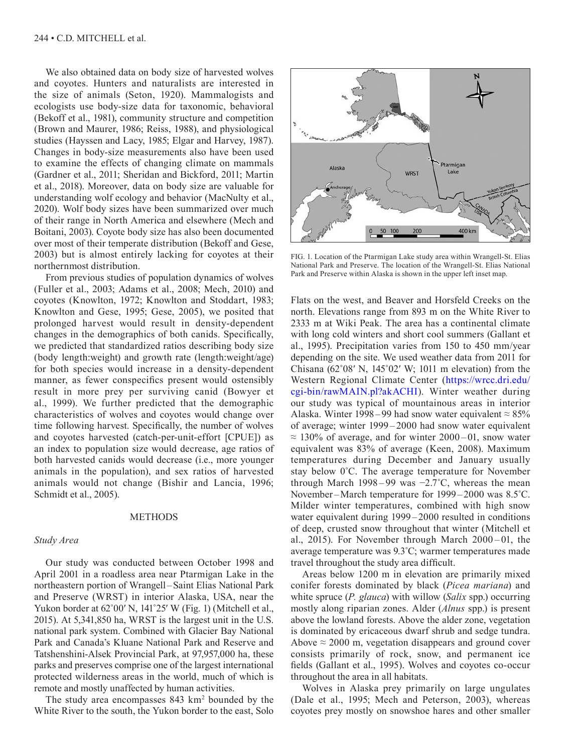We also obtained data on body size of harvested wolves and coyotes. Hunters and naturalists are interested in the size of animals (Seton, 1920). Mammalogists and ecologists use body-size data for taxonomic, behavioral (Bekoff et al., 1981), community structure and competition (Brown and Maurer, 1986; Reiss, 1988), and physiological studies (Hayssen and Lacy, 1985; Elgar and Harvey, 1987). Changes in body-size measurements also have been used to examine the effects of changing climate on mammals (Gardner et al., 2011; Sheridan and Bickford, 2011; Martin et al., 2018). Moreover, data on body size are valuable for understanding wolf ecology and behavior (MacNulty et al., 2020). Wolf body sizes have been summarized over much of their range in North America and elsewhere (Mech and Boitani, 2003). Coyote body size has also been documented over most of their temperate distribution (Bekoff and Gese, 2003) but is almost entirely lacking for coyotes at their northernmost distribution.

From previous studies of population dynamics of wolves (Fuller et al., 2003; Adams et al., 2008; Mech, 2010) and coyotes (Knowlton, 1972; Knowlton and Stoddart, 1983; Knowlton and Gese, 1995; Gese, 2005), we posited that prolonged harvest would result in density-dependent changes in the demographics of both canids. Specifically, we predicted that standardized ratios describing body size (body length:weight) and growth rate (length:weight/age) for both species would increase in a density-dependent manner, as fewer conspecifics present would ostensibly result in more prey per surviving canid (Bowyer et al., 1999). We further predicted that the demographic characteristics of wolves and coyotes would change over time following harvest. Specifically, the number of wolves and coyotes harvested (catch-per-unit-effort [CPUE]) as an index to population size would decrease, age ratios of both harvested canids would decrease (i.e., more younger animals in the population), and sex ratios of harvested animals would not change (Bishir and Lancia, 1996; Schmidt et al., 2005).

# **METHODS**

## *Study Area*

Our study was conducted between October 1998 and April 2001 in a roadless area near Ptarmigan Lake in the northeastern portion of Wrangell–Saint Elias National Park and Preserve (WRST) in interior Alaska, USA, near the Yukon border at 62˚00′ N, 141˚25′ W (Fig. 1) (Mitchell et al., 2015). At 5,341,850 ha, WRST is the largest unit in the U.S. national park system. Combined with Glacier Bay National Park and Canada's Kluane National Park and Reserve and Tatshenshini-Alsek Provincial Park, at 97,957,000 ha, these parks and preserves comprise one of the largest international protected wilderness areas in the world, much of which is remote and mostly unaffected by human activities.

The study area encompasses 843 km<sup>2</sup> bounded by the White River to the south, the Yukon border to the east, Solo



FIG. 1. Location of the Ptarmigan Lake study area within Wrangell-St. Elias National Park and Preserve. The location of the Wrangell-St. Elias National Park and Preserve within Alaska is shown in the upper left inset map.

Flats on the west, and Beaver and Horsfeld Creeks on the north. Elevations range from 893 m on the White River to 2333 m at Wiki Peak. The area has a continental climate with long cold winters and short cool summers (Gallant et al., 1995). Precipitation varies from 150 to 450 mm/year depending on the site. We used weather data from 2011 for Chisana  $(62°08' N, 145°02' W; 1011 m$  elevation) from the Western Regional Climate Center ([https://wrcc.dri.edu/](https://wrcc.dri.edu/cgi-bin/rawMAIN.pl?akACHI) [cgi-bin/rawMAIN.pl?akACHI\). W](https://wrcc.dri.edu/cgi-bin/rawMAIN.pl?akACHI)inter weather during our study was typical of mountainous areas in interior Alaska. Winter 1998–99 had snow water equivalent  $\approx 85\%$ of average; winter 1999 – 2000 had snow water equivalent  $\approx 130\%$  of average, and for winter 2000–01, snow water equivalent was 83% of average (Keen, 2008). Maximum temperatures during December and January usually stay below 0˚C. The average temperature for November through March 1998 – 99 was  $-2.7^{\circ}$ C, whereas the mean November –March temperature for 1999 – 2000 was 8.5˚C. Milder winter temperatures, combined with high snow water equivalent during 1999 – 2000 resulted in conditions of deep, crusted snow throughout that winter (Mitchell et al., 2015). For November through March  $2000 - 01$ , the average temperature was 9.3˚C; warmer temperatures made travel throughout the study area difficult.

Areas below 1200 m in elevation are primarily mixed conifer forests dominated by black (*Picea mariana*) and white spruce (*P. glauca*) with willow (*Salix* spp.) occurring mostly along riparian zones. Alder (*Alnus* spp.) is present above the lowland forests. Above the alder zone, vegetation is dominated by ericaceous dwarf shrub and sedge tundra. Above  $\approx$  2000 m, vegetation disappears and ground cover consists primarily of rock, snow, and permanent ice fields (Gallant et al., 1995). Wolves and coyotes co-occur throughout the area in all habitats.

Wolves in Alaska prey primarily on large ungulates (Dale et al., 1995; Mech and Peterson, 2003), whereas coyotes prey mostly on snowshoe hares and other smaller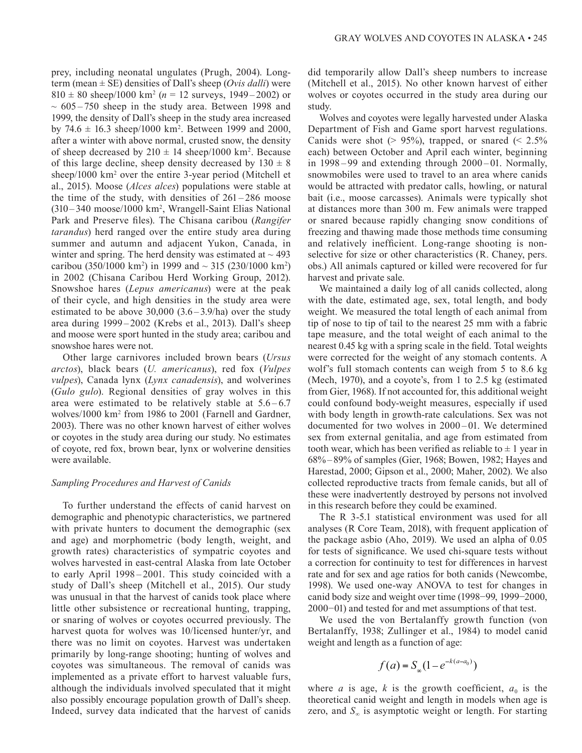prey, including neonatal ungulates (Prugh, 2004). Longterm (mean ± SE) densities of Dall's sheep (*Ovis dalli*) were  $810 \pm 80$  sheep/1000 km<sup>2</sup> ( $n = 12$  surveys, 1949–2002) or  $\sim 605 - 750$  sheep in the study area. Between 1998 and 1999, the density of Dall's sheep in the study area increased by  $74.6 \pm 16.3$  sheep/1000 km<sup>2</sup>. Between 1999 and 2000, after a winter with above normal, crusted snow, the density of sheep decreased by  $210 \pm 14$  sheep/1000 km<sup>2</sup>. Because of this large decline, sheep density decreased by  $130 \pm 8$ sheep/1000 km<sup>2</sup> over the entire 3-year period (Mitchell et al., 2015). Moose (*Alces alces*) populations were stable at the time of the study, with densities of  $261 - 286$  moose (310 – 340 moose/1000 km2 , Wrangell-Saint Elias National Park and Preserve files). The Chisana caribou (*Rangifer tarandus*) herd ranged over the entire study area during summer and autumn and adjacent Yukon, Canada, in winter and spring. The herd density was estimated at  $\sim$  493 caribou (350/1000 km<sup>2</sup>) in 1999 and  $\sim$  315 (230/1000 km<sup>2</sup>) in 2002 (Chisana Caribou Herd Working Group, 2012). Snowshoe hares (*Lepus americanus*) were at the peak of their cycle, and high densities in the study area were estimated to be above  $30,000$   $(3.6-3.9/ha)$  over the study area during 1999 – 2002 (Krebs et al., 2013). Dall's sheep and moose were sport hunted in the study area; caribou and snowshoe hares were not.

Other large carnivores included brown bears (*Ursus arctos*), black bears (*U. americanus*), red fox (*Vulpes vulpes*), Canada lynx (*Lynx canadensis*), and wolverines (*Gulo gulo*). Regional densities of gray wolves in this area were estimated to be relatively stable at  $5.6 - 6.7$ wolves/1000 km2 from 1986 to 2001 (Farnell and Gardner, 2003). There was no other known harvest of either wolves or coyotes in the study area during our study. No estimates of coyote, red fox, brown bear, lynx or wolverine densities were available.

# *Sampling Procedures and Harvest of Canids*

To further understand the effects of canid harvest on demographic and phenotypic characteristics, we partnered with private hunters to document the demographic (sex and age) and morphometric (body length, weight, and growth rates) characteristics of sympatric coyotes and wolves harvested in east-central Alaska from late October to early April 1998 – 2001. This study coincided with a study of Dall's sheep (Mitchell et al., 2015). Our study was unusual in that the harvest of canids took place where little other subsistence or recreational hunting, trapping, or snaring of wolves or coyotes occurred previously. The harvest quota for wolves was 10/licensed hunter/yr, and there was no limit on coyotes. Harvest was undertaken primarily by long-range shooting; hunting of wolves and coyotes was simultaneous. The removal of canids was implemented as a private effort to harvest valuable furs, although the individuals involved speculated that it might also possibly encourage population growth of Dall's sheep. Indeed, survey data indicated that the harvest of canids

did temporarily allow Dall's sheep numbers to increase (Mitchell et al., 2015). No other known harvest of either wolves or coyotes occurred in the study area during our study.

Wolves and coyotes were legally harvested under Alaska Department of Fish and Game sport harvest regulations. Canids were shot ( $> 95\%$ ), trapped, or snared ( $< 2.5\%$ ) each) between October and April each winter, beginning in 1998 – 99 and extending through 2000 – 01. Normally, snowmobiles were used to travel to an area where canids would be attracted with predator calls, howling, or natural bait (i.e., moose carcasses). Animals were typically shot at distances more than 300 m. Few animals were trapped or snared because rapidly changing snow conditions of freezing and thawing made those methods time consuming and relatively inefficient. Long-range shooting is nonselective for size or other characteristics (R. Chaney, pers. obs.) All animals captured or killed were recovered for fur harvest and private sale.

We maintained a daily log of all canids collected, along with the date, estimated age, sex, total length, and body weight. We measured the total length of each animal from tip of nose to tip of tail to the nearest 25 mm with a fabric tape measure, and the total weight of each animal to the nearest 0.45 kg with a spring scale in the field. Total weights were corrected for the weight of any stomach contents. A wolf's full stomach contents can weigh from 5 to 8.6 kg (Mech, 1970), and a coyote's, from 1 to 2.5 kg (estimated from Gier, 1968). If not accounted for, this additional weight could confound body-weight measures, especially if used with body length in growth-rate calculations. Sex was not documented for two wolves in 2000 – 01. We determined sex from external genitalia, and age from estimated from tooth wear, which has been verified as reliable to  $\pm 1$  year in 68%–89% of samples (Gier, 1968; Bowen, 1982; Hayes and Harestad, 2000; Gipson et al., 2000; Maher, 2002). We also collected reproductive tracts from female canids, but all of these were inadvertently destroyed by persons not involved in this research before they could be examined.

The R 3-5.1 statistical environment was used for all analyses (R Core Team, 2018), with frequent application of the package asbio (Aho, 2019). We used an alpha of 0.05 for tests of significance. We used chi-square tests without a correction for continuity to test for differences in harvest rate and for sex and age ratios for both canids (Newcombe, 1998). We used one-way ANOVA to test for changes in canid body size and weight over time (1998−99, 1999−2000, 2000−01) and tested for and met assumptions of that test.

We used the von Bertalanffy growth function (von Bertalanffy, 1938; Zullinger et al., 1984) to model canid weight and length as a function of age:

$$
f(a) = S_{\infty}(1 - e^{-k(a - a_0)})
$$

where *a* is age, *k* is the growth coefficient,  $a_0$  is the theoretical canid weight and length in models when age is zero, and  $S_{\infty}$  is asymptotic weight or length. For starting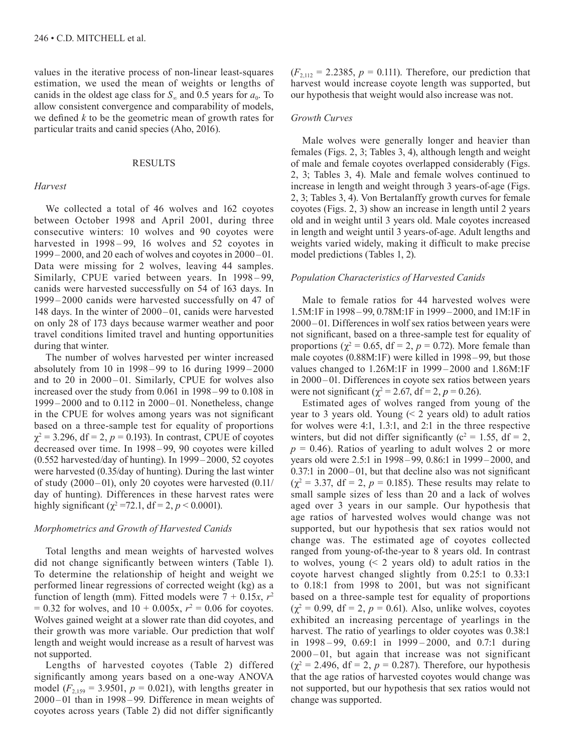values in the iterative process of non-linear least-squares estimation, we used the mean of weights or lengths of canids in the oldest age class for  $S_{\infty}$  and 0.5 years for  $a_0$ . To allow consistent convergence and comparability of models, we defined *k* to be the geometric mean of growth rates for particular traits and canid species (Aho, 2016).

# RESULTS

## *Harvest*

We collected a total of 46 wolves and 162 coyotes between October 1998 and April 2001, during three consecutive winters: 10 wolves and 90 coyotes were harvested in 1998–99, 16 wolves and 52 coyotes in 1999 – 2000, and 20 each of wolves and coyotes in 2000 –01. Data were missing for 2 wolves, leaving 44 samples. Similarly, CPUE varied between years. In 1998 – 99, canids were harvested successfully on 54 of 163 days. In 1999 – 2000 canids were harvested successfully on 47 of 148 days. In the winter of 2000 –01, canids were harvested on only 28 of 173 days because warmer weather and poor travel conditions limited travel and hunting opportunities during that winter.

The number of wolves harvested per winter increased absolutely from 10 in 1998 – 99 to 16 during 1999 – 2000 and to 20 in 2000-01. Similarly, CPUE for wolves also increased over the study from 0.061 in 1998 –99 to 0.108 in 1999 – 2000 and to 0.112 in 2000 – 01. Nonetheless, change in the CPUE for wolves among years was not significant based on a three-sample test for equality of proportions  $\chi^2$  = 3.296, df = 2,  $p$  = 0.193). In contrast, CPUE of coyotes decreased over time. In 1998 – 99, 90 coyotes were killed (0.552 harvested/day of hunting). In 1999 –2000, 52 coyotes were harvested (0.35/day of hunting). During the last winter of study  $(2000-01)$ , only 20 coyotes were harvested  $(0.11/$ day of hunting). Differences in these harvest rates were highly significant ( $\chi^2$ =72.1, df = 2, *p* < 0.0001).

#### *Morphometrics and Growth of Harvested Canids*

Total lengths and mean weights of harvested wolves did not change significantly between winters (Table 1). To determine the relationship of height and weight we performed linear regressions of corrected weight (kg) as a function of length (mm). Fitted models were  $7 + 0.15x$ ,  $r^2$  $= 0.32$  for wolves, and  $10 + 0.005x$ ,  $r^2 = 0.06$  for coyotes. Wolves gained weight at a slower rate than did coyotes, and their growth was more variable. Our prediction that wolf length and weight would increase as a result of harvest was not supported.

Lengths of harvested coyotes (Table 2) differed significantly among years based on a one-way ANOVA model  $(F_{2,159} = 3.9501, p = 0.021)$ , with lengths greater in 2000 – 01 than in 1998 – 99. Difference in mean weights of coyotes across years (Table 2) did not differ significantly

 $(F_{2,112} = 2.2385, p = 0.111)$ . Therefore, our prediction that harvest would increase coyote length was supported, but our hypothesis that weight would also increase was not.

## *Growth Curves*

Male wolves were generally longer and heavier than females (Figs. 2, 3; Tables 3, 4), although length and weight of male and female coyotes overlapped considerably (Figs. 2, 3; Tables 3, 4). Male and female wolves continued to increase in length and weight through 3 years-of-age (Figs. 2, 3; Tables 3, 4). Von Bertalanffy growth curves for female coyotes (Figs. 2, 3) show an increase in length until 2 years old and in weight until 3 years old. Male coyotes increased in length and weight until 3 years-of-age. Adult lengths and weights varied widely, making it difficult to make precise model predictions (Tables 1, 2).

#### *Population Characteristics of Harvested Canids*

Male to female ratios for 44 harvested wolves were 1.5M:1F in 1998 –99, 0.78M:1F in 1999 –2000, and 1M:1F in 2000 – 01. Differences in wolf sex ratios between years were not significant, based on a three-sample test for equality of proportions ( $\chi^2$  = 0.65, df = 2, p = 0.72). More female than male coyotes (0.88M:1F) were killed in 1998–99, but those values changed to 1.26M:1F in 1999 – 2000 and 1.86M:1F in 2000 –01. Differences in coyote sex ratios between years were not significant ( $\chi^2 = 2.67$ , df = 2, p = 0.26).

Estimated ages of wolves ranged from young of the year to 3 years old. Young (< 2 years old) to adult ratios for wolves were 4:1, 1.3:1, and 2:1 in the three respective winters, but did not differ significantly ( $c^2 = 1.55$ , df = 2,  $p = 0.46$ ). Ratios of yearling to adult wolves 2 or more years old were 2.5:1 in 1998–99, 0.86:1 in 1999 –2000, and 0.37:1 in 2000–01, but that decline also was not significant  $(\chi^2 = 3.37, df = 2, p = 0.185)$ . These results may relate to small sample sizes of less than 20 and a lack of wolves aged over 3 years in our sample. Our hypothesis that age ratios of harvested wolves would change was not supported, but our hypothesis that sex ratios would not change was. The estimated age of coyotes collected ranged from young-of-the-year to 8 years old. In contrast to wolves, young  $(2 \times 2)$  years old) to adult ratios in the coyote harvest changed slightly from 0.25:1 to 0.33:1 to 0.18:1 from 1998 to 2001, but was not significant based on a three-sample test for equality of proportions  $(\chi^2 = 0.99, df = 2, p = 0.61)$ . Also, unlike wolves, coyotes exhibited an increasing percentage of yearlings in the harvest. The ratio of yearlings to older coyotes was 0.38:1 in 1998 – 99, 0.69:1 in 1999 – 2000, and 0.7:1 during  $2000 - 01$ , but again that increase was not significant  $(\chi^2 = 2.496, df = 2, p = 0.287)$ . Therefore, our hypothesis that the age ratios of harvested coyotes would change was not supported, but our hypothesis that sex ratios would not change was supported.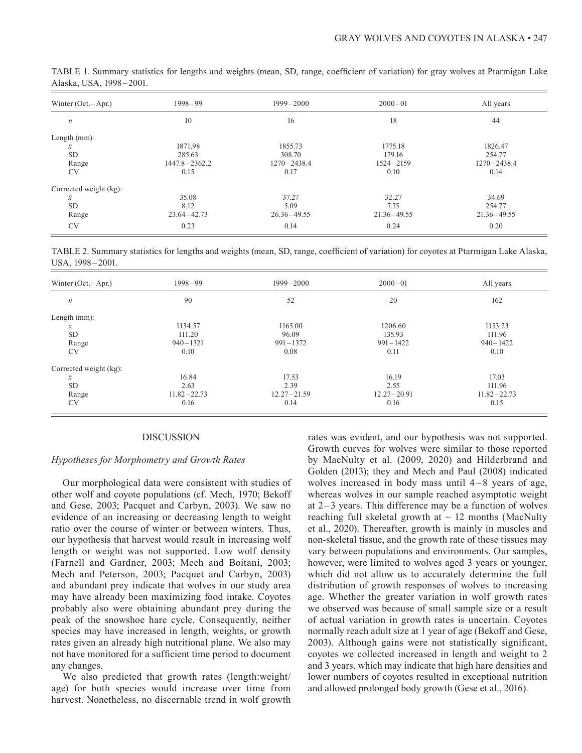| Winter $(Oct. - Apr.)$ | $1998 - 99$       | $1999 - 2000$   | $2000 - 01$     | All years       |
|------------------------|-------------------|-----------------|-----------------|-----------------|
| $\boldsymbol{n}$       | 10                | 16              | 18              | 44              |
| Length $(mm)$ :        |                   |                 |                 |                 |
| $\bar{x}$              | 1871.98           | 1855.73         | 1775.18         | 1826.47         |
| <b>SD</b>              | 285.63            | 308.70          | 179.16          | 254.77          |
| Range                  | $1447.8 - 2362.2$ | $1270 - 2438.4$ | $1524 - 2159$   | $1270 - 2438.4$ |
| <b>CV</b>              | 0.15              | 0.17            | 0.10            | 0.14            |
| Corrected weight (kg): |                   |                 |                 |                 |
| $\bar{x}$              | 35.08             | 37.27           | 32.27           | 34.69           |
| <b>SD</b>              | 8.12              | 5.09            | 7.75            | 254.77          |
| Range                  | $23.64 - 42.73$   | $26.36 - 49.55$ | $21.36 - 49.55$ | $21.36 - 49.55$ |
| <b>CV</b>              | 0.23              | 0.14            | 0.24            | 0.20            |

TABLE 1. Summary statistics for lengths and weights (mean, SD, range, coefficient of variation) for gray wolves at Ptarmigan Lake Alaska, USA, 1998–2001.

TABLE 2. Summary statistics for lengths and weights (mean, SD, range, coefficient of variation) for coyotes at Ptarmigan Lake Alaska, USA, 1998-2001.

| Winter $(Oct. - Apr.)$ | $1998 - 99$     | $1999 - 2000$   | $2000 - 01$     | All years       |
|------------------------|-----------------|-----------------|-----------------|-----------------|
| $\boldsymbol{n}$       | 90              | 52              | 20              | 162             |
| Length $(mm)$ :        |                 |                 |                 |                 |
| $\overline{x}$         | 1134.57         | 1165.00         | 1206.60         | 1153.23         |
| <b>SD</b>              | 111.20          | 96.09           | 135.93          | 111.96          |
| Range                  | $940 - 1321$    | $991 - 1372$    | $991 - 1422$    | $940 - 1422$    |
| <b>CV</b>              | 0.10            | 0.08            | 0.11            | 0.10            |
| Corrected weight (kg): |                 |                 |                 |                 |
| $\overline{x}$         | 16.84           | 17.53           | 16.19           | 17.03           |
| <b>SD</b>              | 2.63            | 2.39            | 2.55            | 111.96          |
| Range                  | $11.82 - 22.73$ | $12.27 - 21.59$ | $12.27 - 20.91$ | $11.82 - 22.73$ |
| <b>CV</b>              | 0.16            | 0.14            | 0.16            | 0.15            |
|                        |                 |                 |                 |                 |

#### DISCUSSION

## *Hypotheses for Morphometry and Growth Rates*

Our morphological data were consistent with studies of other wolf and coyote populations (cf. Mech, 1970; Bekoff and Gese, 2003; Pacquet and Carbyn, 2003). We saw no evidence of an increasing or decreasing length to weight ratio over the course of winter or between winters. Thus, our hypothesis that harvest would result in increasing wolf length or weight was not supported. Low wolf density (Farnell and Gardner, 2003; Mech and Boitani, 2003; Mech and Peterson, 2003; Pacquet and Carbyn, 2003) and abundant prey indicate that wolves in our study area may have already been maximizing food intake. Coyotes probably also were obtaining abundant prey during the peak of the snowshoe hare cycle. Consequently, neither species may have increased in length, weights, or growth rates given an already high nutritional plane. We also may not have monitored for a sufficient time period to document any changes.

We also predicted that growth rates (length:weight/ age) for both species would increase over time from harvest. Nonetheless, no discernable trend in wolf growth

rates was evident, and our hypothesis was not supported. Growth curves for wolves were similar to those reported by MacNulty et al. (2009, 2020) and Hilderbrand and Golden (2013); they and Mech and Paul (2008) indicated wolves increased in body mass until  $4-8$  years of age, whereas wolves in our sample reached asymptotic weight at  $2-3$  years. This difference may be a function of wolves reaching full skeletal growth at  $\sim$  12 months (MacNulty et al., 2020). Thereafter, growth is mainly in muscles and non-skeletal tissue, and the growth rate of these tissues may vary between populations and environments. Our samples, however, were limited to wolves aged 3 years or younger, which did not allow us to accurately determine the full distribution of growth responses of wolves to increasing age. Whether the greater variation in wolf growth rates we observed was because of small sample size or a result of actual variation in growth rates is uncertain. Coyotes normally reach adult size at 1 year of age (Bekoff and Gese, 2003). Although gains were not statistically significant, coyotes we collected increased in length and weight to 2 and 3 years, which may indicate that high hare densities and lower numbers of coyotes resulted in exceptional nutrition and allowed prolonged body growth (Gese et al., 2016).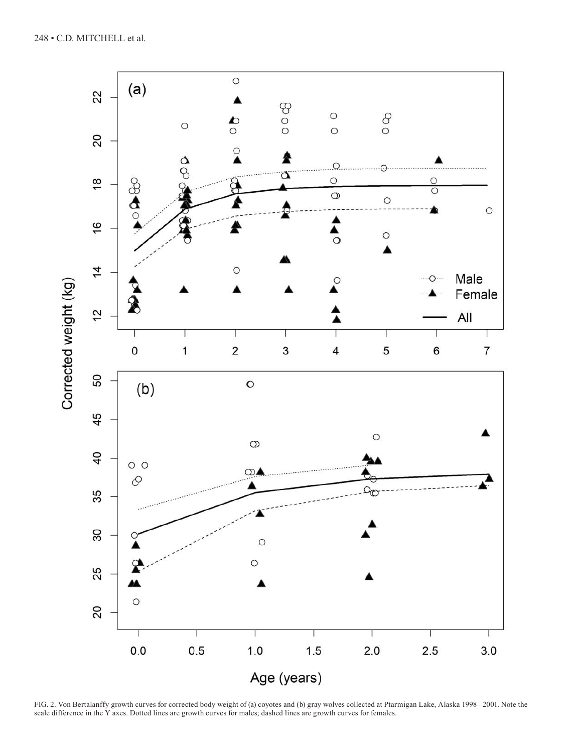

FIG. 2. Von Bertalanffy growth curves for corrected body weight of (a) coyotes and (b) gray wolves collected at Ptarmigan Lake, Alaska 1998–2001. Note the scale difference in the Y axes. Dotted lines are growth curves for males; dashed lines are growth curves for females.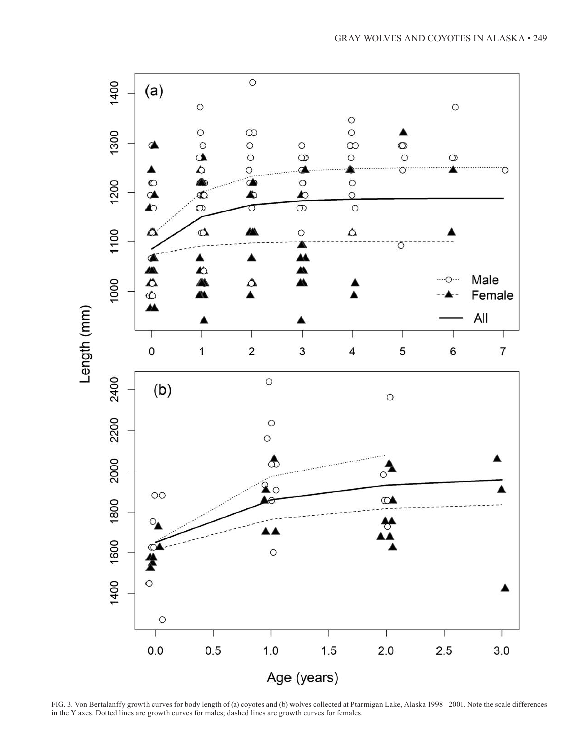

FIG. 3. Von Bertalanffy growth curves for body length of (a) coyotes and (b) wolves collected at Ptarmigan Lake, Alaska 1998–2001. Note the scale differences in the Y axes. Dotted lines are growth curves for males; dashed lines are growth curves for females.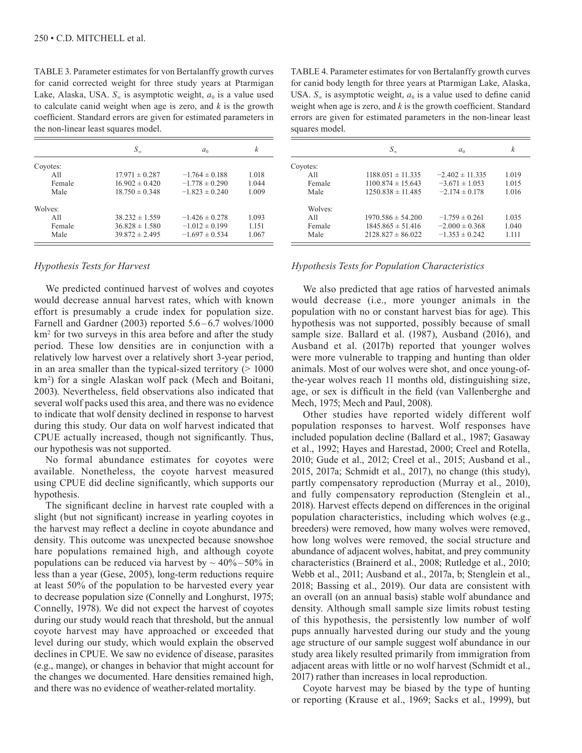TABLE 3. Parameter estimates for von Bertalanffy growth curves for canid corrected weight for three study years at Ptarmigan Lake, Alaska, USA.  $S_{\infty}$  is asymptotic weight,  $a_0$  is a value used to calculate canid weight when age is zero, and *k* is the growth coefficient. Standard errors are given for estimated parameters in the non-linear least squares model.

|          | $S_{\infty}$       | a <sub>0</sub>     | k     |
|----------|--------------------|--------------------|-------|
| Coyotes: |                    |                    |       |
| A11      | $17.971 \pm 0.287$ | $-1.764 \pm 0.188$ | 1.018 |
| Female   | $16.902 \pm 0.420$ | $-1.778 \pm 0.290$ | 1.044 |
| Male     | $18.750 \pm 0.348$ | $-1.823 \pm 0.240$ | 1.009 |
| Wolves:  |                    |                    |       |
| A11      | $38.232 \pm 1.559$ | $-1.426 \pm 0.278$ | 1.093 |
| Female   | $36.828 \pm 1.580$ | $-1.012 \pm 0.199$ | 1.151 |
| Male     | $39.872 \pm 2.495$ | $-1.697 \pm 0.534$ | 1.067 |

# *Hypothesis Tests for Harvest*

We predicted continued harvest of wolves and coyotes would decrease annual harvest rates, which with known effort is presumably a crude index for population size. Farnell and Gardner (2003) reported 5.6–6.7 wolves/1000 km2 for two surveys in this area before and after the study period. These low densities are in conjunction with a relatively low harvest over a relatively short 3-year period, in an area smaller than the typical-sized territory  $(>1000$ km2 ) for a single Alaskan wolf pack (Mech and Boitani, 2003). Nevertheless, field observations also indicated that several wolf packs used this area, and there was no evidence to indicate that wolf density declined in response to harvest during this study. Our data on wolf harvest indicated that CPUE actually increased, though not significantly. Thus, our hypothesis was not supported.

No formal abundance estimates for coyotes were available. Nonetheless, the coyote harvest measured using CPUE did decline significantly, which supports our hypothesis.

The significant decline in harvest rate coupled with a slight (but not significant) increase in yearling coyotes in the harvest may reflect a decline in coyote abundance and density. This outcome was unexpected because snowshoe hare populations remained high, and although coyote populations can be reduced via harvest by  $\sim$  40%–50% in less than a year (Gese, 2005), long-term reductions require at least 50% of the population to be harvested every year to decrease population size (Connelly and Longhurst, 1975; Connelly, 1978). We did not expect the harvest of coyotes during our study would reach that threshold, but the annual coyote harvest may have approached or exceeded that level during our study, which would explain the observed declines in CPUE. We saw no evidence of disease, parasites (e.g., mange), or changes in behavior that might account for the changes we documented. Hare densities remained high, and there was no evidence of weather-related mortality.

TABLE 4. Parameter estimates for von Bertalanffy growth curves for canid body length for three years at Ptarmigan Lake, Alaska, USA.  $S_{\infty}$  is asymptotic weight,  $a_0$  is a value used to define canid weight when age is zero, and *k* is the growth coefficient. Standard errors are given for estimated parameters in the non-linear least squares model.

|          | $S_{\infty}$          | a <sub>0</sub>      | k       |
|----------|-----------------------|---------------------|---------|
| Coyotes: |                       |                     |         |
| A11      | $1188.051 \pm 11.335$ | $-2.402 \pm 11.335$ | 1.019   |
| Female   | $1100.874 \pm 15.643$ | $-3.671 \pm 1.053$  | 1.015   |
| Male     | $1250.838 \pm 11.485$ | $-2.174 \pm 0.178$  | 1.016   |
| Wolves:  |                       |                     |         |
| A11      | $1970.586 \pm 54.200$ | $-1.759 \pm 0.261$  | 1.035   |
| Female   | $1845.865 \pm 51.416$ | $-2.000 \pm 0.368$  | 1.040   |
| Male     | $2128.827 \pm 86.022$ | $-1.353 \pm 0.242$  | 1 1 1 1 |

# *Hypothesis Tests for Population Characteristics*

We also predicted that age ratios of harvested animals would decrease (i.e., more younger animals in the population with no or constant harvest bias for age). This hypothesis was not supported, possibly because of small sample size. Ballard et al. (1987), Ausband (2016), and Ausband et al. (2017b) reported that younger wolves were more vulnerable to trapping and hunting than older animals. Most of our wolves were shot, and once young-ofthe-year wolves reach 11 months old, distinguishing size, age, or sex is difficult in the field (van Vallenberghe and Mech, 1975; Mech and Paul, 2008).

Other studies have reported widely different wolf population responses to harvest. Wolf responses have included population decline (Ballard et al., 1987; Gasaway et al., 1992; Hayes and Harestad, 2000; Creel and Rotella, 2010; Gude et al., 2012; Creel et al., 2015; Ausband et al., 2015, 2017a; Schmidt et al., 2017), no change (this study), partly compensatory reproduction (Murray et al., 2010), and fully compensatory reproduction (Stenglein et al., 2018). Harvest effects depend on differences in the original population characteristics, including which wolves (e.g., breeders) were removed, how many wolves were removed, how long wolves were removed, the social structure and abundance of adjacent wolves, habitat, and prey community characteristics (Brainerd et al., 2008; Rutledge et al., 2010; Webb et al., 2011; Ausband et al., 2017a, b; Stenglein et al., 2018; Bassing et al., 2019). Our data are consistent with an overall (on an annual basis) stable wolf abundance and density. Although small sample size limits robust testing of this hypothesis, the persistently low number of wolf pups annually harvested during our study and the young age structure of our sample suggest wolf abundance in our study area likely resulted primarily from immigration from adjacent areas with little or no wolf harvest (Schmidt et al., 2017) rather than increases in local reproduction.

Coyote harvest may be biased by the type of hunting or reporting (Krause et al., 1969; Sacks et al., 1999), but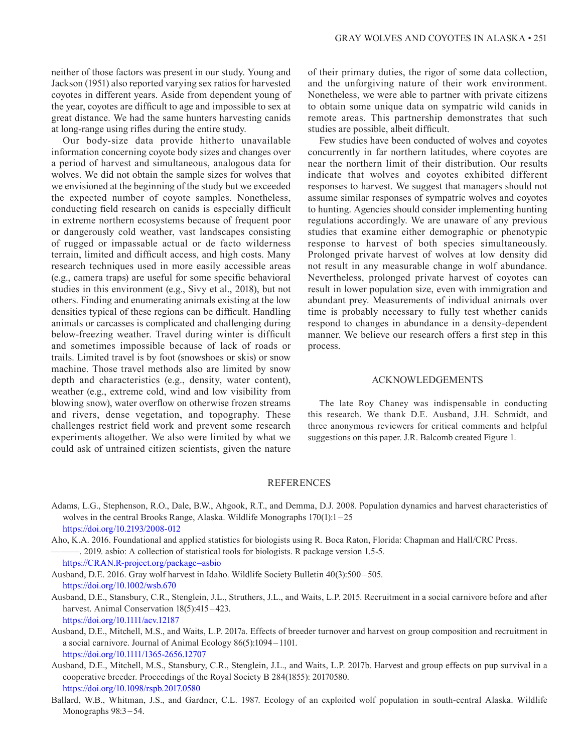neither of those factors was present in our study. Young and Jackson (1951) also reported varying sex ratios for harvested coyotes in different years. Aside from dependent young of the year, coyotes are difficult to age and impossible to sex at great distance. We had the same hunters harvesting canids at long-range using rifles during the entire study.

Our body-size data provide hitherto unavailable information concerning coyote body sizes and changes over a period of harvest and simultaneous, analogous data for wolves. We did not obtain the sample sizes for wolves that we envisioned at the beginning of the study but we exceeded the expected number of coyote samples. Nonetheless, conducting field research on canids is especially difficult in extreme northern ecosystems because of frequent poor or dangerously cold weather, vast landscapes consisting of rugged or impassable actual or de facto wilderness terrain, limited and difficult access, and high costs. Many research techniques used in more easily accessible areas (e.g., camera traps) are useful for some specific behavioral studies in this environment (e.g., Sivy et al., 2018), but not others. Finding and enumerating animals existing at the low densities typical of these regions can be difficult. Handling animals or carcasses is complicated and challenging during below-freezing weather. Travel during winter is difficult and sometimes impossible because of lack of roads or trails. Limited travel is by foot (snowshoes or skis) or snow machine. Those travel methods also are limited by snow depth and characteristics (e.g., density, water content), weather (e.g., extreme cold, wind and low visibility from blowing snow), water overflow on otherwise frozen streams and rivers, dense vegetation, and topography. These challenges restrict field work and prevent some research experiments altogether. We also were limited by what we could ask of untrained citizen scientists, given the nature

of their primary duties, the rigor of some data collection, and the unforgiving nature of their work environment. Nonetheless, we were able to partner with private citizens to obtain some unique data on sympatric wild canids in remote areas. This partnership demonstrates that such studies are possible, albeit difficult.

Few studies have been conducted of wolves and coyotes concurrently in far northern latitudes, where coyotes are near the northern limit of their distribution. Our results indicate that wolves and coyotes exhibited different responses to harvest. We suggest that managers should not assume similar responses of sympatric wolves and coyotes to hunting. Agencies should consider implementing hunting regulations accordingly. We are unaware of any previous studies that examine either demographic or phenotypic response to harvest of both species simultaneously. Prolonged private harvest of wolves at low density did not result in any measurable change in wolf abundance. Nevertheless, prolonged private harvest of coyotes can result in lower population size, even with immigration and abundant prey. Measurements of individual animals over time is probably necessary to fully test whether canids respond to changes in abundance in a density-dependent manner. We believe our research offers a first step in this process.

#### ACKNOWLEDGEMENTS

The late Roy Chaney was indispensable in conducting this research. We thank D.E. Ausband, J.H. Schmidt, and three anonymous reviewers for critical comments and helpful suggestions on this paper. J.R. Balcomb created Figure 1.

# REFERENCES

Adams, L.G., Stephenson, R.O., Dale, B.W., Ahgook, R.T., and Demma, D.J. 2008. Population dynamics and harvest characteristics of wolves in the central Brooks Range, Alaska. Wildlife Monographs 170(1):1 – 25 <https://doi.org/10.2193/2008-012>

Aho, K.A. 2016. Foundational and applied statistics for biologists using R. Boca Raton, Florida: Chapman and Hall/CRC Press. ———. 2019. asbio: A collection of statistical tools for biologists. R package version 1.5-5.

<https://CRAN.R-project.org/package=asbio>

Ausband, D.E. 2016. Gray wolf harvest in Idaho. Wildlife Society Bulletin 40(3):500 – 505. <https://doi.org/10.1002/wsb.670>

- Ausband, D.E., Stansbury, C.R., Stenglein, J.L., Struthers, J.L., and Waits, L.P. 2015. Recruitment in a social carnivore before and after harvest. Animal Conservation 18(5):415 – 423. <https://doi.org/10.1111/acv.12187>
- Ausband, D.E., Mitchell, M.S., and Waits, L.P. 2017a. Effects of breeder turnover and harvest on group composition and recruitment in a social carnivore. Journal of Animal Ecology 86(5):1094 – 1101. <https://doi.org/10.1111/1365-2656.12707>

Ausband, D.E., Mitchell, M.S., Stansbury, C.R., Stenglein, J.L., and Waits, L.P. 2017b. Harvest and group effects on pup survival in a cooperative breeder. Proceedings of the Royal Society B 284(1855): 20170580. <https://doi.org/10.1098/rspb.2017.0580>

Ballard, W.B., Whitman, J.S., and Gardner, C.L. 1987. Ecology of an exploited wolf population in south-central Alaska. Wildlife Monographs 98:3–54.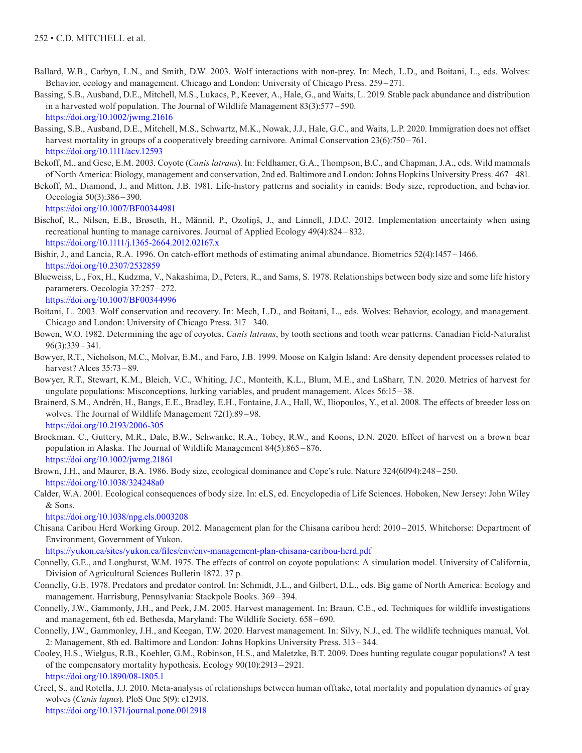- Ballard, W.B., Carbyn, L.N., and Smith, D.W. 2003. Wolf interactions with non-prey. In: Mech, L.D., and Boitani, L., eds. Wolves: Behavior, ecology and management. Chicago and London: University of Chicago Press. 259–271.
- Bassing, S.B., Ausband, D.E., Mitchell, M.S., Lukacs, P., Keever, A., Hale, G., and Waits, L. 2019. Stable pack abundance and distribution in a harvested wolf population. The Journal of Wildlife Management 83(3):577 – 590. <https://doi.org/10.1002/jwmg.21616>
- Bassing, S.B., Ausband, D.E., Mitchell, M.S., Schwartz, M.K., Nowak, J.J., Hale, G.C., and Waits, L.P. 2020. Immigration does not offset harvest mortality in groups of a cooperatively breeding carnivore. Animal Conservation 23(6):750 – 761. <https://doi.org/10.1111/acv.12593>
- Bekoff, M., and Gese, E.M. 2003. Coyote (*Canis latrans*). In: Feldhamer, G.A., Thompson, B.C., and Chapman, J.A., eds. Wild mammals of North America: Biology, management and conservation, 2nd ed. Baltimore and London: Johns Hopkins University Press. 467 – 481.
- Bekoff, M., Diamond, J., and Mitton, J.B. 1981. Life-history patterns and sociality in canids: Body size, reproduction, and behavior. Oecologia 50(3):386 –390.

<https://doi.org/10.1007/BF00344981>

- Bischof, R., Nilsen, E.B., Brøseth, H., Männil, P., Ozoliņš, J., and Linnell, J.D.C. 2012. Implementation uncertainty when using recreational hunting to manage carnivores. Journal of Applied Ecology 49(4):824 – 832. <https://doi.org/10.1111/j.1365-2664.2012.02167.x>
- Bishir, J., and Lancia, R.A. 1996. On catch-effort methods of estimating animal abundance. Biometrics 52(4):1457 –1466. <https://doi.org/10.2307/2532859>
- Blueweiss, L., Fox, H., Kudzma, V., Nakashima, D., Peters, R., and Sams, S. 1978. Relationships between body size and some life history parameters. Oecologia 37:257–272. <https://doi.org/10.1007/BF00344996>
- Boitani, L. 2003. Wolf conservation and recovery. In: Mech, L.D., and Boitani, L., eds. Wolves: Behavior, ecology, and management. Chicago and London: University of Chicago Press. 317 –340.
- Bowen, W.O. 1982. Determining the age of coyotes, *Canis latrans*, by tooth sections and tooth wear patterns. Canadian Field-Naturalist 96(3):339 – 341.
- Bowyer, R.T., Nicholson, M.C., Molvar, E.M., and Faro, J.B. 1999. Moose on Kalgin Island: Are density dependent processes related to harvest? Alces 35:73-89.
- Bowyer, R.T., Stewart, K.M., Bleich, V.C., Whiting, J.C., Monteith, K.L., Blum, M.E., and LaSharr, T.N. 2020. Metrics of harvest for ungulate populations: Misconceptions, lurking variables, and prudent management. Alces 56:15 –38.
- Brainerd, S.M., Andrén, H., Bangs, E.E., Bradley, E.H., Fontaine, J.A., Hall, W., Iliopoulos, Y., et al. 2008. The effects of breeder loss on wolves. The Journal of Wildlife Management 72(1):89 – 98. <https://doi.org/10.2193/2006-305>
- Brockman, C., Guttery, M.R., Dale, B.W., Schwanke, R.A., Tobey, R.W., and Koons, D.N. 2020. Effect of harvest on a brown bear population in Alaska. The Journal of Wildlife Management 84(5):865 –876. <https://doi.org/10.1002/jwmg.21861>

Brown, J.H., and Maurer, B.A. 1986. Body size, ecological dominance and Cope's rule. Nature 324(6094):248 –250. <https://doi.org/10.1038/324248a0>

Calder, W.A. 2001. Ecological consequences of body size. In: eLS, ed. Encyclopedia of Life Sciences. Hoboken, New Jersey: John Wiley & Sons.

<https://doi.org/10.1038/npg.els.0003208>

Chisana Caribou Herd Working Group. 2012. Management plan for the Chisana caribou herd: 2010 –2015. Whitehorse: Department of Environment, Government of Yukon.

<https://yukon.ca/sites/yukon.ca/files/env/env-management-plan-chisana-caribou-herd.pdf>

- Connelly, G.E., and Longhurst, W.M. 1975. The effects of control on coyote populations: A simulation model. University of California, Division of Agricultural Sciences Bulletin 1872. 37 p.
- Connelly, G.E. 1978. Predators and predator control. In: Schmidt, J.L., and Gilbert, D.L., eds. Big game of North America: Ecology and management. Harrisburg, Pennsylvania: Stackpole Books. 369 –394.
- Connelly, J.W., Gammonly, J.H., and Peek, J.M. 2005. Harvest management. In: Braun, C.E., ed. Techniques for wildlife investigations and management, 6th ed. Bethesda, Maryland: The Wildlife Society. 658 –690.
- Connelly, J.W., Gammonley, J.H., and Keegan, T.W. 2020. Harvest management. In: Silvy, N.J., ed. The wildlife techniques manual, Vol. 2: Management, 8th ed. Baltimore and London: Johns Hopkins University Press. 313 –344.
- Cooley, H.S., Wielgus, R.B., Koehler, G.M., Robinson, H.S., and Maletzke, B.T. 2009. Does hunting regulate cougar populations? A test of the compensatory mortality hypothesis. Ecology 90(10):2913–2921. <https://doi.org/10.1890/08-1805.1>
- Creel, S., and Rotella, J.J. 2010. Meta-analysis of relationships between human offtake, total mortality and population dynamics of gray wolves (*Canis lupus*). PloS One 5(9): e12918.

<https://doi.org/10.1371/journal.pone.0012918>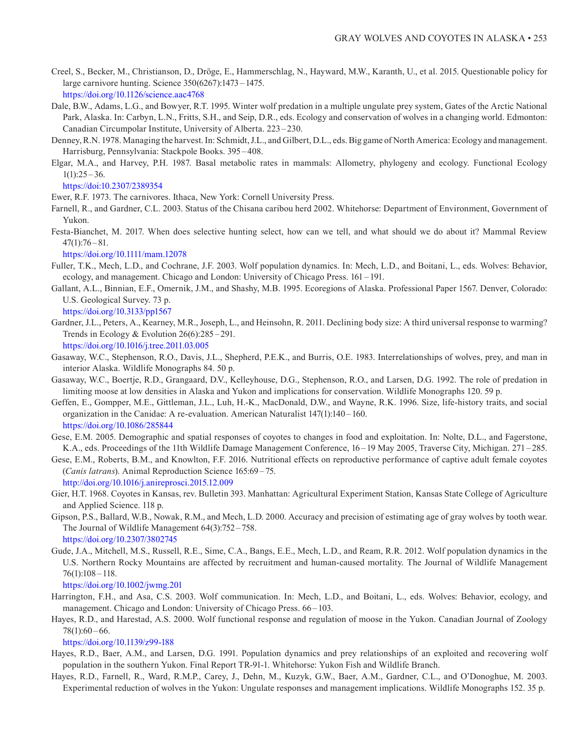- Creel, S., Becker, M., Christianson, D., Dröge, E., Hammerschlag, N., Hayward, M.W., Karanth, U., et al. 2015. Questionable policy for large carnivore hunting. Science 350(6267):1473 –1475. <https://doi.org/10.1126/science.aac4768>
- Dale, B.W., Adams, L.G., and Bowyer, R.T. 1995. Winter wolf predation in a multiple ungulate prey system, Gates of the Arctic National Park, Alaska. In: Carbyn, L.N., Fritts, S.H., and Seip, D.R., eds. Ecology and conservation of wolves in a changing world. Edmonton: Canadian Circumpolar Institute, University of Alberta. 223– 230.
- Denney, R.N. 1978. Managing the harvest. In: Schmidt, J.L., and Gilbert, D.L., eds. Big game of North America: Ecology and management. Harrisburg, Pennsylvania: Stackpole Books. 395–408.
- Elgar, M.A., and Harvey, P.H. 1987. Basal metabolic rates in mammals: Allometry, phylogeny and ecology. Functional Ecology  $1(1):25-36.$

<https://doi:10.2307/2389354>

Ewer, R.F. 1973. The carnivores. Ithaca, New York: Cornell University Press.

- Farnell, R., and Gardner, C.L. 2003. Status of the Chisana caribou herd 2002. Whitehorse: Department of Environment, Government of Yukon.
- Festa-Bianchet, M. 2017. When does selective hunting select, how can we tell, and what should we do about it? Mammal Review  $47(1):76 - 81.$

<https://doi.org/10.1111/mam.12078>

- Fuller, T.K., Mech, L.D., and Cochrane, J.F. 2003. Wolf population dynamics. In: Mech, L.D., and Boitani, L., eds. Wolves: Behavior, ecology, and management. Chicago and London: University of Chicago Press. 161 –191.
- Gallant, A.L., Binnian, E.F., Omernik, J.M., and Shashy, M.B. 1995. Ecoregions of Alaska. Professional Paper 1567. Denver, Colorado: U.S. Geological Survey. 73 p.

<https://doi.org/10.3133/pp1567>

- Gardner, J.L., Peters, A., Kearney, M.R., Joseph, L., and Heinsohn, R. 2011. Declining body size: A third universal response to warming? Trends in Ecology & Evolution 26(6):285 –291. <https://doi.org/10.1016/j.tree.2011.03.005>
- Gasaway, W.C., Stephenson, R.O., Davis, J.L., Shepherd, P.E.K., and Burris, O.E. 1983. Interrelationships of wolves, prey, and man in interior Alaska. Wildlife Monographs 84. 50 p.
- Gasaway, W.C., Boertje, R.D., Grangaard, D.V., Kelleyhouse, D.G., Stephenson, R.O., and Larsen, D.G. 1992. The role of predation in limiting moose at low densities in Alaska and Yukon and implications for conservation. Wildlife Monographs 120. 59 p.
- Geffen, E., Gompper, M.E., Gittleman, J.L., Luh, H.-K., MacDonald, D.W., and Wayne, R.K. 1996. Size, life-history traits, and social organization in the Canidae: A re-evaluation. American Naturalist 147(1):140 –160. <https://doi.org/10.1086/285844>
- Gese, E.M. 2005. Demographic and spatial responses of coyotes to changes in food and exploitation. In: Nolte, D.L., and Fagerstone, K.A., eds. Proceedings of the 11th Wildlife Damage Management Conference, 16 –19 May 2005, Traverse City, Michigan. 271 –285.
- Gese, E.M., Roberts, B.M., and Knowlton, F.F. 2016. Nutritional effects on reproductive performance of captive adult female coyotes (*Canis latrans*). Animal Reproduction Science 165:69 –75.

 <http://doi.org/10.1016/j.anireprosci.2015.12.009> Gier, H.T. 1968. Coyotes in Kansas, rev. Bulletin 393. Manhattan: Agricultural Experiment Station, Kansas State College of Agriculture

- and Applied Science. 118 p. Gipson, P.S., Ballard, W.B., Nowak, R.M., and Mech, L.D. 2000. Accuracy and precision of estimating age of gray wolves by tooth wear. The Journal of Wildlife Management 64(3):752 –758. <https://doi.org/10.2307/3802745>
- Gude, J.A., Mitchell, M.S., Russell, R.E., Sime, C.A., Bangs, E.E., Mech, L.D., and Ream, R.R. 2012. Wolf population dynamics in the U.S. Northern Rocky Mountains are affected by recruitment and human-caused mortality. The Journal of Wildlife Management  $76(1):108 - 118.$

<https://doi.org/10.1002/jwmg.201>

- Harrington, F.H., and Asa, C.S. 2003. Wolf communication. In: Mech, L.D., and Boitani, L., eds. Wolves: Behavior, ecology, and management. Chicago and London: University of Chicago Press. 66–103.
- Hayes, R.D., and Harestad, A.S. 2000. Wolf functional response and regulation of moose in the Yukon. Canadian Journal of Zoology  $78(1):60-66.$

<https://doi.org/10.1139/z99-188>

- Hayes, R.D., Baer, A.M., and Larsen, D.G. 1991. Population dynamics and prey relationships of an exploited and recovering wolf population in the southern Yukon. Final Report TR-91-1. Whitehorse: Yukon Fish and Wildlife Branch.
- Hayes, R.D., Farnell, R., Ward, R.M.P., Carey, J., Dehn, M., Kuzyk, G.W., Baer, A.M., Gardner, C.L., and O'Donoghue, M. 2003. Experimental reduction of wolves in the Yukon: Ungulate responses and management implications. Wildlife Monographs 152. 35 p.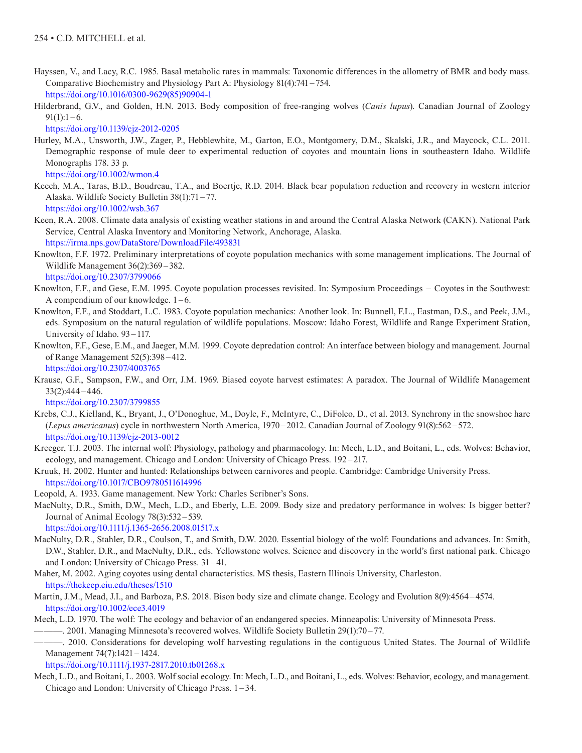- Hayssen, V., and Lacy, R.C. 1985. Basal metabolic rates in mammals: Taxonomic differences in the allometry of BMR and body mass. Comparative Biochemistry and Physiology Part A: Physiology 81(4):741 –754. [https://doi.org/10.1016/0300-9629\(85\)90904-1](https://doi.org/10.1016/0300-9629(85)90904-1)
- Hilderbrand, G.V., and Golden, H.N. 2013. Body composition of free-ranging wolves (*Canis lupus*). Canadian Journal of Zoology  $91(1):1-6.$

<https://doi.org/10.1139/cjz-2012-0205>

Hurley, M.A., Unsworth, J.W., Zager, P., Hebblewhite, M., Garton, E.O., Montgomery, D.M., Skalski, J.R., and Maycock, C.L. 2011. Demographic response of mule deer to experimental reduction of coyotes and mountain lions in southeastern Idaho. Wildlife Monographs 178. 33 p.

<https://doi.org/10.1002/wmon.4>

- Keech, M.A., Taras, B.D., Boudreau, T.A., and Boertje, R.D. 2014. Black bear population reduction and recovery in western interior Alaska. Wildlife Society Bulletin 38(1):71 –77. <https://doi.org/10.1002/wsb.367>
- Keen, R.A. 2008. Climate data analysis of existing weather stations in and around the Central Alaska Network (CAKN). National Park Service, Central Alaska Inventory and Monitoring Network, Anchorage, Alaska. <https://irma.nps.gov/DataStore/DownloadFile/493831>
- Knowlton, F.F. 1972. Preliminary interpretations of coyote population mechanics with some management implications. The Journal of Wildlife Management 36(2):369 –382.

<https://doi.org/10.2307/3799066>

- Knowlton, F.F., and Gese, E.M. 1995. Coyote population processes revisited. In: Symposium Proceedings Coyotes in the Southwest: A compendium of our knowledge. 1 –6.
- Knowlton, F.F., and Stoddart, L.C. 1983. Coyote population mechanics: Another look. In: Bunnell, F.L., Eastman, D.S., and Peek, J.M., eds. Symposium on the natural regulation of wildlife populations. Moscow: Idaho Forest, Wildlife and Range Experiment Station, University of Idaho. 93 – 117.
- Knowlton, F.F., Gese, E.M., and Jaeger, M.M. 1999. Coyote depredation control: An interface between biology and management. Journal of Range Management 52(5):398 – 412.

<https://doi.org/10.2307/4003765>

Krause, G.F., Sampson, F.W., and Orr, J.M. 1969. Biased coyote harvest estimates: A paradox. The Journal of Wildlife Management 33(2):444 –446.

<https://doi.org/10.2307/3799855>

- Krebs, C.J., Kielland, K., Bryant, J., O'Donoghue, M., Doyle, F., McIntyre, C., DiFolco, D., et al. 2013. Synchrony in the snowshoe hare (*Lepus americanus*) cycle in northwestern North America, 1970 – 2012. Canadian Journal of Zoology 91(8):562 – 572. <https://doi.org/10.1139/cjz-2013-0012>
- Kreeger, T.J. 2003. The internal wolf: Physiology, pathology and pharmacology. In: Mech, L.D., and Boitani, L., eds. Wolves: Behavior, ecology, and management. Chicago and London: University of Chicago Press. 192-217.
- Kruuk, H. 2002. Hunter and hunted: Relationships between carnivores and people. Cambridge: Cambridge University Press. <https://doi.org/10.1017/CBO9780511614996>
- Leopold, A. 1933. Game management. New York: Charles Scribner's Sons.
- MacNulty, D.R., Smith, D.W., Mech, L.D., and Eberly, L.E. 2009. Body size and predatory performance in wolves: Is bigger better? Journal of Animal Ecology 78(3):532–539.

<https://doi.org/10.1111/j.1365-2656.2008.01517.x>

- MacNulty, D.R., Stahler, D.R., Coulson, T., and Smith, D.W. 2020. Essential biology of the wolf: Foundations and advances. In: Smith, D.W., Stahler, D.R., and MacNulty, D.R., eds. Yellowstone wolves. Science and discovery in the world's first national park. Chicago and London: University of Chicago Press. 31 –41.
- Maher, M. 2002. Aging coyotes using dental characteristics. MS thesis, Eastern Illinois University, Charleston. <https://thekeep.eiu.edu/theses/1510>
- Martin, J.M., Mead, J.I., and Barboza, P.S. 2018. Bison body size and climate change. Ecology and Evolution 8(9):4564 –4574. <https://doi.org/10.1002/ece3.4019>
- Mech, L.D. 1970. The wolf: The ecology and behavior of an endangered species. Minneapolis: University of Minnesota Press.

———. 2001. Managing Minnesota's recovered wolves. Wildlife Society Bulletin 29(1):70 –77.

———. 2010. Considerations for developing wolf harvesting regulations in the contiguous United States. The Journal of Wildlife Management 74(7):1421 –1424.

<https://doi.org/10.1111/j.1937-2817.2010.tb01268.x>

Mech, L.D., and Boitani, L. 2003. Wolf social ecology. In: Mech, L.D., and Boitani, L., eds. Wolves: Behavior, ecology, and management. Chicago and London: University of Chicago Press. 1 –34.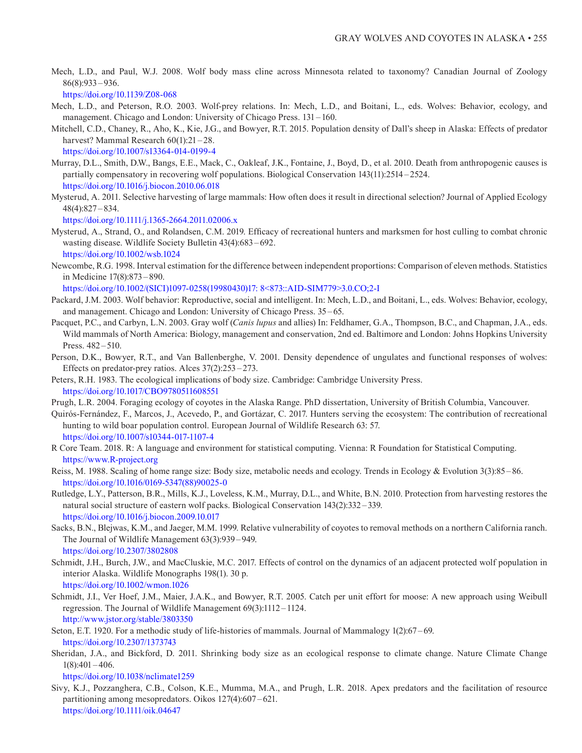Mech, L.D., and Paul, W.J. 2008. Wolf body mass cline across Minnesota related to taxonomy? Canadian Journal of Zoology 86(8):933 –936.

<https://doi.org/10.1139/Z08-068>

- Mech, L.D., and Peterson, R.O. 2003. Wolf-prey relations. In: Mech, L.D., and Boitani, L., eds. Wolves: Behavior, ecology, and management. Chicago and London: University of Chicago Press. 131 –160.
- Mitchell, C.D., Chaney, R., Aho, K., Kie, J.G., and Bowyer, R.T. 2015. Population density of Dall's sheep in Alaska: Effects of predator harvest? Mammal Research 60(1):21 – 28. <https://doi.org/10.1007/s13364-014-0199-4>
- Murray, D.L., Smith, D.W., Bangs, E.E., Mack, C., Oakleaf, J.K., Fontaine, J., Boyd, D., et al. 2010. Death from anthropogenic causes is partially compensatory in recovering wolf populations. Biological Conservation 143(11):2514 – 2524. <https://doi.org/10.1016/j.biocon.2010.06.018>
- Mysterud, A. 2011. Selective harvesting of large mammals: How often does it result in directional selection? Journal of Applied Ecology 48(4):827 –834.

<https://doi.org/10.1111/j.1365-2664.2011.02006.x>

- Mysterud, A., Strand, O., and Rolandsen, C.M. 2019. Efficacy of recreational hunters and marksmen for host culling to combat chronic wasting disease. Wildlife Society Bulletin 43(4):683 –692. <https://doi.org/10.1002/wsb.1024>
- Newcombe, R.G. 1998. Interval estimation for the difference between independent proportions: Comparison of eleven methods. Statistics in Medicine 17(8):873–890.

[https://doi.org/10.1002/\(SICI\)1097-0258\(19980430\)17: 8<873::AID-SIM779>3.0.CO;2-I](https://doi.org/10.1002/(SICI)1097-0258(19980430)17: 8<873::AID-SIM779>3.0.CO;2-I)

- Packard, J.M. 2003. Wolf behavior: Reproductive, social and intelligent. In: Mech, L.D., and Boitani, L., eds. Wolves: Behavior, ecology, and management. Chicago and London: University of Chicago Press. 35 –65.
- Pacquet, P.C., and Carbyn, L.N. 2003. Gray wolf (*Canis lupus* and allies) In: Feldhamer, G.A., Thompson, B.C., and Chapman, J.A., eds. Wild mammals of North America: Biology, management and conservation, 2nd ed. Baltimore and London: Johns Hopkins University Press. 482-510.
- Person, D.K., Bowyer, R.T., and Van Ballenberghe, V. 2001. Density dependence of ungulates and functional responses of wolves: Effects on predator-prey ratios. Alces 37(2):253 –273.
- Peters, R.H. 1983. The ecological implications of body size. Cambridge: Cambridge University Press. <https://doi.org/10.1017/CBO9780511608551>
- Prugh, L.R. 2004. Foraging ecology of coyotes in the Alaska Range. PhD dissertation, University of British Columbia, Vancouver.
- Quirós-Fernández, F., Marcos, J., Acevedo, P., and Gortázar, C. 2017. Hunters serving the ecosystem: The contribution of recreational hunting to wild boar population control. European Journal of Wildlife Research 63: 57. <https://doi.org/10.1007/s10344-017-1107-4>
- R Core Team. 2018. R: A language and environment for statistical computing. Vienna: R Foundation for Statistical Computing. <https://www.R-project.org>
- Reiss, M. 1988. Scaling of home range size: Body size, metabolic needs and ecology. Trends in Ecology & Evolution 3(3):85 –86. [https://doi.org/10.1016/0169-5347\(88\)90025-0](https://doi.org/10.1016/0169-5347(88)90025-0)
- Rutledge, L.Y., Patterson, B.R., Mills, K.J., Loveless, K.M., Murray, D.L., and White, B.N. 2010. Protection from harvesting restores the natural social structure of eastern wolf packs. Biological Conservation 143(2):332 –339. <https://doi.org/10.1016/j.biocon.2009.10.017>
- Sacks, B.N., Blejwas, K.M., and Jaeger, M.M. 1999. Relative vulnerability of coyotes to removal methods on a northern California ranch. The Journal of Wildlife Management 63(3):939 –949. <https://doi.org/10.2307/3802808>
- Schmidt, J.H., Burch, J.W., and MacCluskie, M.C. 2017. Effects of control on the dynamics of an adjacent protected wolf population in interior Alaska. Wildlife Monographs 198(1). 30 p. <https://doi.org/10.1002/wmon.1026>
- Schmidt, J.I., Ver Hoef, J.M., Maier, J.A.K., and Bowyer, R.T. 2005. Catch per unit effort for moose: A new approach using Weibull regression. The Journal of Wildlife Management 69(3):1112 –1124. <http://www.jstor.org/stable/3803350>
- Seton, E.T. 1920. For a methodic study of life-histories of mammals. Journal of Mammalogy 1(2):67 –69. <https://doi.org/10.2307/1373743>
- Sheridan, J.A., and Bickford, D. 2011. Shrinking body size as an ecological response to climate change. Nature Climate Change  $1(8):401 - 406.$

<https://doi.org/10.1038/nclimate1259>

Sivy, K.J., Pozzanghera, C.B., Colson, K.E., Mumma, M.A., and Prugh, L.R. 2018. Apex predators and the facilitation of resource partitioning among mesopredators. Oikos 127(4):607 – 621. <https://doi.org/10.1111/oik.04647>